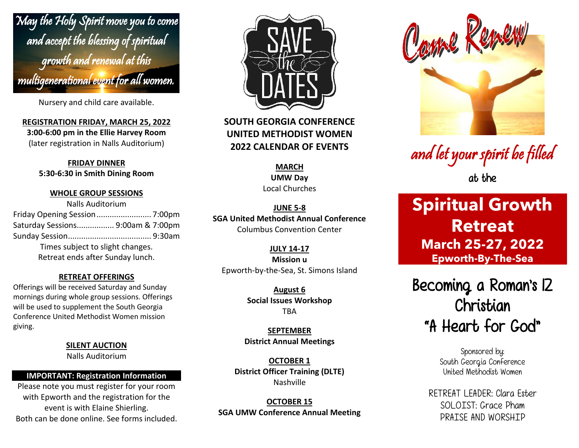May the Holy Spirit move you to come and accept the blessing of spiritual growth and renewal at this multigenerational event for all women.

Nursery and child care available.

**REGISTRATION FRIDAY, MARCH 25, 2022 3:00-6:00 pm in the Ellie Harvey Room** (later registration in Nalls Auditorium)

> **FRIDAY DINNER 5:30-6:30 in Smith Dining Room**

#### **WHOLE GROUP SESSIONS**

Nalls Auditorium Friday Opening Session......................... 7:00pm Saturday Sessions................. 9:00am & 7:00pm Sunday Session...................................... 9:30am Times subject to slight changes. Retreat ends after Sunday lunch.

#### **RETREAT OFFERINGS**

Offerings will be received Saturday and Sunday mornings during whole group sessions. Offerings will be used to supplement the South Georgia Conference United Methodist Women mission giving.

#### **SILENT AUCTION**

Nalls Auditorium

#### **IMPORTANT: Registration Information**

Please note you must register for your room with Epworth and the registration for the event is with Elaine Shierling. Both can be done online. See forms included.



**SOUTH GEORGIA CONFERENCE UNITED METHODIST WOMEN 2022 CALENDAR OF EVENTS**

> **MARCH UMW Day** Local Churches

**JUNE 5-8 SGA United Methodist Annual Conference** Columbus Convention Center

**JULY 14-17 Mission u** Epworth-by-the-Sea, St. Simons Island

> **August 6 Social Issues Workshop TRA**

**SEPTEMBER District Annual Meetings**

**OCTOBER 1 District Officer Training (DLTE)** Nashville

**OCTOBER 15 SGA UMW Conference Annual Meeting**



and let your spirit be filled

at the

# **Spiritual Growth Retreat March 25-27, 2022 Epworth-By-The-Sea**

Becoming a Roman's 12 Christian "A Heart for God"

> Sponsored by: South Georgia Conference United Methodist Women

RETREAT LEADER: Clara Ester SOLOIST: Grace Pham PRAISE AND WORSHIP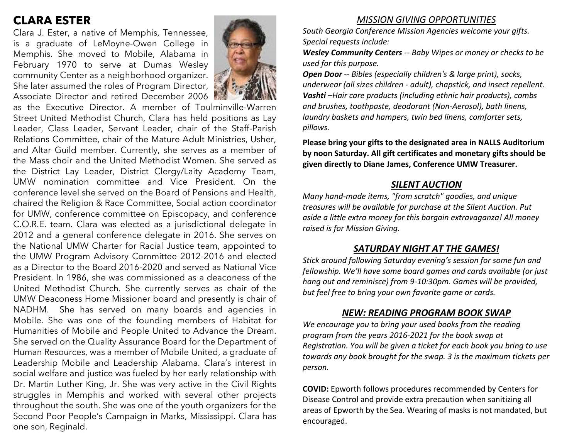## **CLARA ESTER**

Clara J. Ester, a native of Memphis, Tennessee, is a graduate of LeMoyne-Owen College in Memphis. She moved to Mobile, Alabama in February 1970 to serve at Dumas Wesley community Center as a neighborhood organizer. She later assumed the roles of Program Director, Associate Director and retired December 2006



as the Executive Director. A member of Toulminville-Warren Street United Methodist Church, Clara has held positions as Lay Leader, Class Leader, Servant Leader, chair of the Staff-Parish Relations Committee, chair of the Mature Adult Ministries, Usher, and Altar Guild member. Currently, she serves as a member of the Mass choir and the United Methodist Women. She served as the District Lay Leader, District Clergy/Laity Academy Team, UMW nomination committee and Vice President. On the conference level she served on the Board of Pensions and Health, chaired the Religion & Race Committee, Social action coordinator for UMW, conference committee on Episcopacy, and conference C.O.R.E. team. Clara was elected as a jurisdictional delegate in 2012 and a general conference delegate in 2016. She serves on the National UMW Charter for Racial Justice team, appointed to the UMW Program Advisory Committee 2012-2016 and elected as a Director to the Board 2016-2020 and served as National Vice President. In 1986, she was commissioned as a deaconess of the United Methodist Church. She currently serves as chair of the UMW Deaconess Home Missioner board and presently is chair of NADHM. She has served on many boards and agencies in Mobile. She was one of the founding members of Habitat for Humanities of Mobile and People United to Advance the Dream. She served on the Quality Assurance Board for the Department of Human Resources, was a member of Mobile United, a graduate of Leadership Mobile and Leadership Alabama. Clara's interest in social welfare and justice was fueled by her early relationship with Dr. Martin Luther King, Jr. She was very active in the Civil Rights struggles in Memphis and worked with several other projects throughout the south. She was one of the youth organizers for the Second Poor People's Campaign in Marks, Mississippi. Clara has one son, Reginald.

### *MISSION GIVING OPPORTUNITIES*

*South Georgia Conference Mission Agencies welcome your gifts. Special requests include:*

*Wesley Community Centers -- Baby Wipes or money or checks to be used for this purpose.*

*Open Door -- Bibles (especially children's & large print), socks, underwear (all sizes children - adult), chapstick, and insect repellent. Vashti –Hair care products (including ethnic hair products), combs and brushes, toothpaste, deodorant (Non-Aerosol), bath linens, laundry baskets and hampers, twin bed linens, comforter sets, pillows.*

**Please bring your gifts to the designated area in NALLS Auditorium by noon Saturday. All gift certificates and monetary gifts should be given directly to Diane James, Conference UMW Treasurer.**

## *SILENT AUCTION*

*Many hand-made items, "from scratch" goodies, and unique treasures will be available for purchase at the Silent Auction. Put aside a little extra money for this bargain extravaganza! All money raised is for Mission Giving.*

## *SATURDAY NIGHT AT THE GAMES!*

*Stick around following Saturday evening's session for some fun and fellowship. We'll have some board games and cards available (or just hang out and reminisce) from 9-10:30pm. Games will be provided, but feel free to bring your own favorite game or cards.*

## *NEW: READING PROGRAM BOOK SWAP*

*We encourage you to bring your used books from the reading program from the years 2016-2021 for the book swap at Registration. You will be given a ticket for each book you bring to use towards any book brought for the swap. 3 is the maximum tickets per person.*

**COVID:** Epworth follows procedures recommended by Centers for Disease Control and provide extra precaution when sanitizing all areas of Epworth by the Sea. Wearing of masks is not mandated, but encouraged.